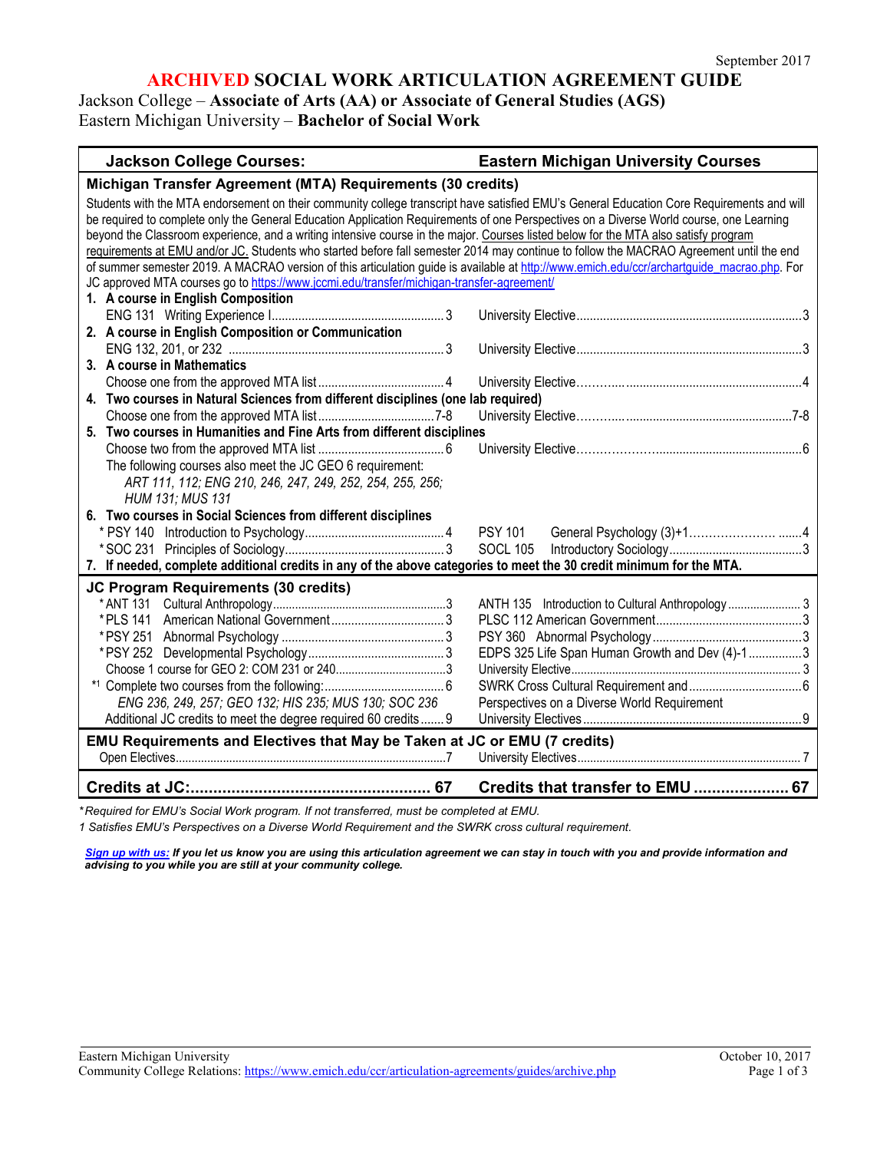# **ARCHIVED SOCIAL WORK ARTICULATION AGREEMENT GUIDE**

Jackson College – **Associate of Arts (AA) or Associate of General Studies (AGS)** Eastern Michigan University – **Bachelor of Social Work**

#### **Jackson College Courses: Eastern Michigan University Courses**

| Michigan Transfer Agreement (MTA) Requirements (30 credits)                                                                                |                                                |  |
|--------------------------------------------------------------------------------------------------------------------------------------------|------------------------------------------------|--|
| Students with the MTA endorsement on their community college transcript have satisfied EMU's General Education Core Requirements and will  |                                                |  |
| be required to complete only the General Education Application Requirements of one Perspectives on a Diverse World course, one Learning    |                                                |  |
| beyond the Classroom experience, and a writing intensive course in the major. Courses listed below for the MTA also satisfy program        |                                                |  |
| requirements at EMU and/or JC. Students who started before fall semester 2014 may continue to follow the MACRAO Agreement until the end    |                                                |  |
| of summer semester 2019. A MACRAO version of this articulation guide is available at http://www.emich.edu/ccr/archartguide macrao.php. For |                                                |  |
| JC approved MTA courses go to https://www.jccmi.edu/transfer/michigan-transfer-agreement/                                                  |                                                |  |
| 1. A course in English Composition                                                                                                         |                                                |  |
|                                                                                                                                            |                                                |  |
| 2. A course in English Composition or Communication                                                                                        |                                                |  |
|                                                                                                                                            |                                                |  |
| 3. A course in Mathematics                                                                                                                 |                                                |  |
|                                                                                                                                            |                                                |  |
| 4. Two courses in Natural Sciences from different disciplines (one lab required)                                                           |                                                |  |
|                                                                                                                                            |                                                |  |
| 5. Two courses in Humanities and Fine Arts from different disciplines                                                                      |                                                |  |
|                                                                                                                                            |                                                |  |
| The following courses also meet the JC GEO 6 requirement:                                                                                  |                                                |  |
| ART 111, 112; ENG 210, 246, 247, 249, 252, 254, 255, 256;                                                                                  |                                                |  |
| HUM 131; MUS 131                                                                                                                           |                                                |  |
| 6. Two courses in Social Sciences from different disciplines                                                                               |                                                |  |
|                                                                                                                                            | <b>PSY 101</b>                                 |  |
|                                                                                                                                            | <b>SOCL 105</b>                                |  |
| 7. If needed, complete additional credits in any of the above categories to meet the 30 credit minimum for the MTA.                        |                                                |  |
| JC Program Requirements (30 credits)                                                                                                       |                                                |  |
|                                                                                                                                            |                                                |  |
|                                                                                                                                            |                                                |  |
|                                                                                                                                            |                                                |  |
|                                                                                                                                            | EDPS 325 Life Span Human Growth and Dev (4)-13 |  |
|                                                                                                                                            |                                                |  |
|                                                                                                                                            |                                                |  |
| ENG 236, 249, 257; GEO 132; HIS 235; MUS 130; SOC 236                                                                                      | Perspectives on a Diverse World Requirement    |  |
| Additional JC credits to meet the degree required 60 credits  9                                                                            |                                                |  |
|                                                                                                                                            |                                                |  |
| EMU Requirements and Electives that May be Taken at JC or EMU (7 credits)                                                                  |                                                |  |
|                                                                                                                                            |                                                |  |
|                                                                                                                                            | Credits that transfer to EMU  67               |  |

*\* Required for EMU's Social Work program. If not transferred, must be completed at EMU.* 

*1 Satisfies EMU's Perspectives on a Diverse World Requirement and the SWRK cross cultural requirement.* 

[Sign up with us:](https://www.emich.edu/ccr/articulation-agreements/signup.php) If you let us know you are using this articulation agreement we can stay in touch with you and provide information and *advising to you while you are still at your community college.*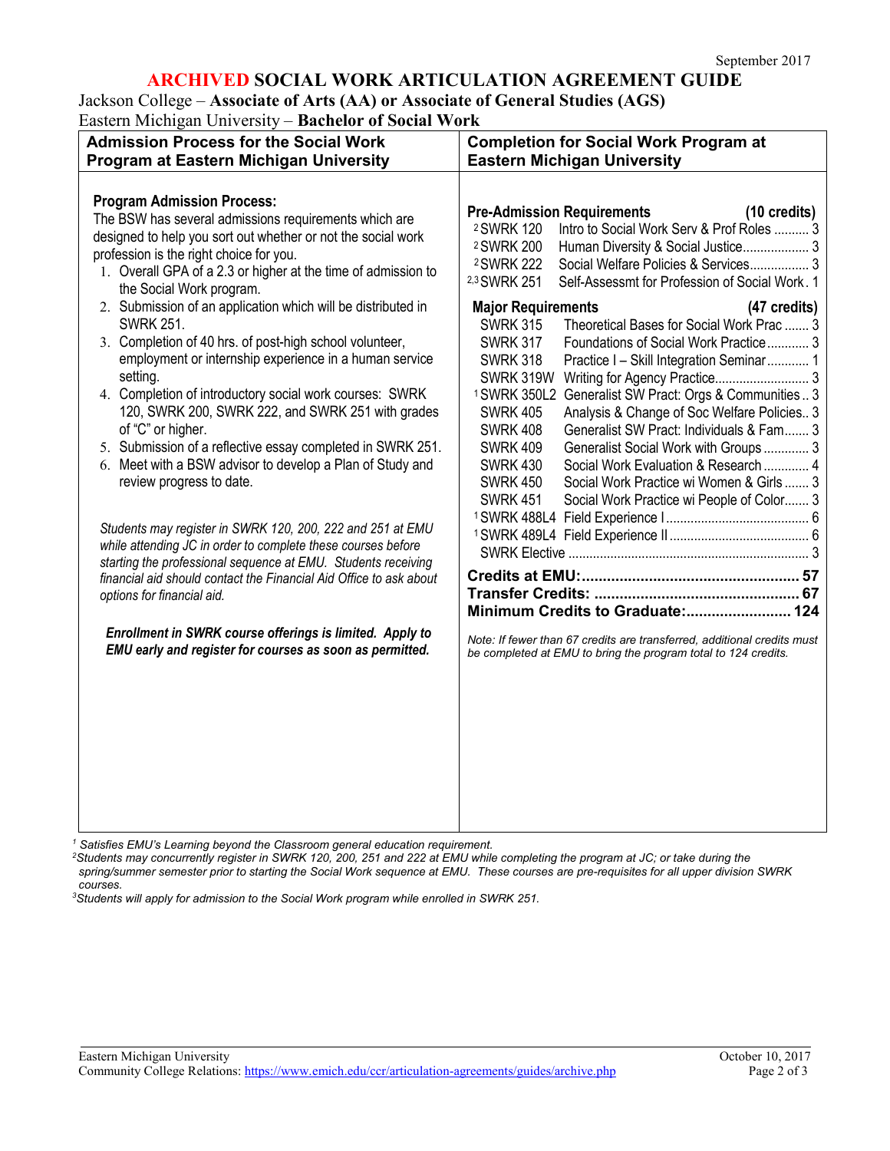# **ARCHIVED SOCIAL WORK ARTICULATION AGREEMENT GUIDE**

Jackson College – **Associate of Arts (AA) or Associate of General Studies (AGS)** Eastern Michigan University – **Bachelor of Social Work**

| <b>Admission Process for the Social Work</b><br>Program at Eastern Michigan University                                                                                                                                                                                                                                                                                                                                                                                                                                                                                      | <b>Completion for Social Work Program at</b><br><b>Eastern Michigan University</b>                                                                                                                                                                                                                                                                                                                                                                                                                                                                                                                                                                                                                                                               |
|-----------------------------------------------------------------------------------------------------------------------------------------------------------------------------------------------------------------------------------------------------------------------------------------------------------------------------------------------------------------------------------------------------------------------------------------------------------------------------------------------------------------------------------------------------------------------------|--------------------------------------------------------------------------------------------------------------------------------------------------------------------------------------------------------------------------------------------------------------------------------------------------------------------------------------------------------------------------------------------------------------------------------------------------------------------------------------------------------------------------------------------------------------------------------------------------------------------------------------------------------------------------------------------------------------------------------------------------|
| <b>Program Admission Process:</b><br>The BSW has several admissions requirements which are<br>designed to help you sort out whether or not the social work<br>profession is the right choice for you.<br>1. Overall GPA of a 2.3 or higher at the time of admission to<br>the Social Work program.                                                                                                                                                                                                                                                                          | <b>Pre-Admission Requirements</b><br>(10 credits)<br>Intro to Social Work Serv & Prof Roles  3<br><sup>2</sup> SWRK 120<br><sup>2</sup> SWRK 200<br>Human Diversity & Social Justice 3<br><sup>2</sup> SWRK 222<br>Social Welfare Policies & Services 3<br>2,3 SWRK 251<br>Self-Assessmt for Profession of Social Work. 1                                                                                                                                                                                                                                                                                                                                                                                                                        |
| 2. Submission of an application which will be distributed in<br><b>SWRK 251.</b><br>3. Completion of 40 hrs. of post-high school volunteer,<br>employment or internship experience in a human service<br>setting.<br>4. Completion of introductory social work courses: SWRK<br>120, SWRK 200, SWRK 222, and SWRK 251 with grades<br>of "C" or higher.<br>5. Submission of a reflective essay completed in SWRK 251.<br>6. Meet with a BSW advisor to develop a Plan of Study and<br>review progress to date.<br>Students may register in SWRK 120, 200, 222 and 251 at EMU | <b>Major Requirements</b><br>(47 credits)<br>Theoretical Bases for Social Work Prac  3<br><b>SWRK 315</b><br><b>SWRK 317</b><br>Foundations of Social Work Practice 3<br><b>SWRK 318</b><br>Practice I - Skill Integration Seminar 1<br>SWRK 319W<br>Writing for Agency Practice 3<br>Generalist SW Pract: Orgs & Communities  3<br><sup>1</sup> SWRK 350L2<br><b>SWRK 405</b><br>Analysis & Change of Soc Welfare Policies 3<br><b>SWRK 408</b><br>Generalist SW Pract: Individuals & Fam 3<br>Generalist Social Work with Groups 3<br><b>SWRK 409</b><br>Social Work Evaluation & Research  4<br><b>SWRK 430</b><br><b>SWRK 450</b><br>Social Work Practice wi Women & Girls 3<br><b>SWRK 451</b><br>Social Work Practice wi People of Color 3 |
| while attending JC in order to complete these courses before<br>starting the professional sequence at EMU. Students receiving<br>financial aid should contact the Financial Aid Office to ask about<br>options for financial aid.<br>Enrollment in SWRK course offerings is limited. Apply to<br>EMU early and register for courses as soon as permitted.                                                                                                                                                                                                                   | Minimum Credits to Graduate: 124<br>Note: If fewer than 67 credits are transferred, additional credits must<br>be completed at EMU to bring the program total to 124 credits.                                                                                                                                                                                                                                                                                                                                                                                                                                                                                                                                                                    |

*<sup>1</sup> Satisfies EMU's Learning beyond the Classroom general education requirement.*

*2 Students may concurrently register in SWRK 120, 200, 251 and 222 at EMU while completing the program at JC; or take during the spring/summer semester prior to starting the Social Work sequence at EMU. These courses are pre-requisites for all upper division SWRK courses.* 

*3 Students will apply for admission to the Social Work program while enrolled in SWRK 251.*